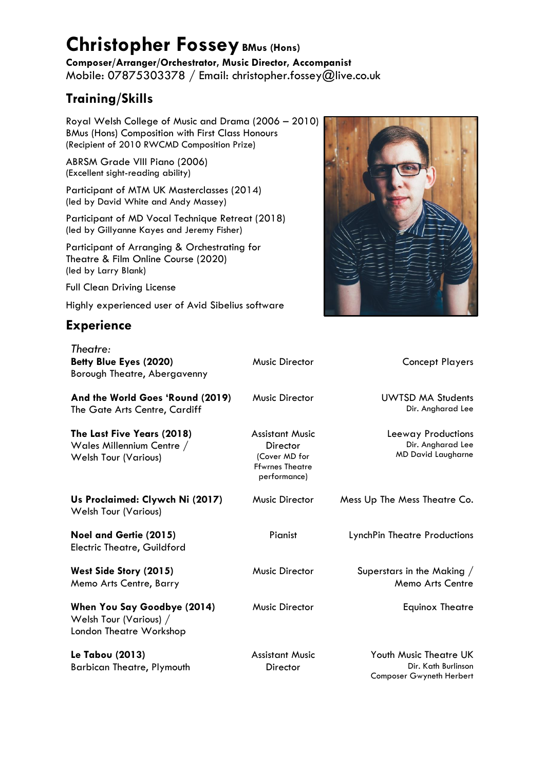## **Christopher FosseyBMus (Hons)**

**Composer/Arranger/Orchestrator, Music Director, Accompanist** Mobile: 07875303378 / Email: christopher.fossey@live.co.uk

## **Training/Skills**

Royal Welsh College of Music and Drama (2006 – 2010) BMus (Hons) Composition with First Class Honours (Recipient of 2010 RWCMD Composition Prize)

ABRSM Grade VIII Piano (2006) (Excellent sight-reading ability)

Participant of MTM UK Masterclasses (2014) (led by David White and Andy Massey)

Participant of MD Vocal Technique Retreat (2018) (led by Gillyanne Kayes and Jeremy Fisher)

Participant of Arranging & Orchestrating for Theatre & Film Online Course (2020) (led by Larry Blank)

Full Clean Driving License

Highly experienced user of Avid Sibelius software

## **Experience**



| Theatre:<br>Betty Blue Eyes (2020)<br>Borough Theatre, Abergavenny                     | <b>Music Director</b>                                                                         | <b>Concept Players</b>                                               |
|----------------------------------------------------------------------------------------|-----------------------------------------------------------------------------------------------|----------------------------------------------------------------------|
| And the World Goes 'Round (2019)<br>The Gate Arts Centre, Cardiff                      | <b>Music Director</b>                                                                         | <b>UWTSD MA Students</b><br>Dir. Angharad Lee                        |
| The Last Five Years (2018)<br>Wales Millennium Centre /<br><b>Welsh Tour (Various)</b> | <b>Assistant Music</b><br>Director<br>(Cover MD for<br><b>Ffwrnes Theatre</b><br>performance) | Leeway Productions<br>Dir. Angharad Lee<br><b>MD David Laugharne</b> |
| Us Proclaimed: Clywch Ni (2017)<br><b>Welsh Tour (Various)</b>                         | <b>Music Director</b>                                                                         | Mess Up The Mess Theatre Co.                                         |
| Noel and Gertie (2015)<br><b>Electric Theatre, Guildford</b>                           | Pianist                                                                                       | LynchPin Theatre Productions                                         |
| West Side Story (2015)<br>Memo Arts Centre, Barry                                      | <b>Music Director</b>                                                                         | Superstars in the Making /<br>Memo Arts Centre                       |
| When You Say Goodbye (2014)<br>Welsh Tour (Various) /<br>London Theatre Workshop       | <b>Music Director</b>                                                                         | <b>Equinox Theatre</b>                                               |
| 1a Tahou (2013)                                                                        | Accistant Music                                                                               | Youth Music Thaotra LIK                                              |

**Le Tabou (2013)** Barbican Theatre, Plymouth Assistant Music **Director** 

Youth Music Theatre UK Dir. Kath Burlinson Composer Gwyneth Herbert